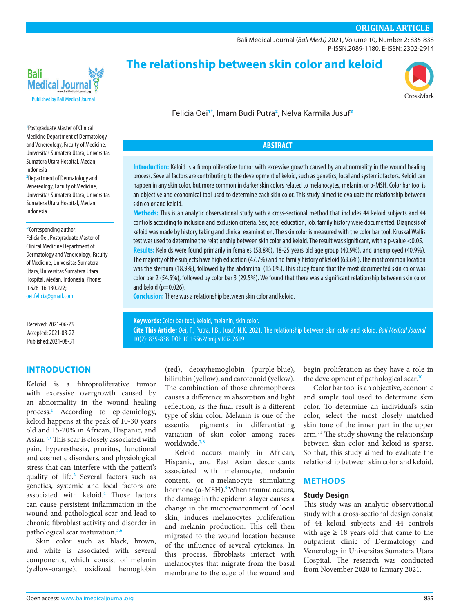# **ORIGINAL ARTICLE**

[Bali Medical Journal](http://www.balimedicaljournal.org/) (*Bali MedJ)* 2021, Volume 10, Number 2: 835-838 P-ISSN.2089-1180, E-ISSN: 2302-2914



**The relationship between skin color and keloid**



Felicia Oei**1\***, Imam Budi Putra**<sup>2</sup>** , Nelva Karmila Jusuf**<sup>2</sup>**

## **ABSTRACT**

**Introduction:** Keloid is a fibroproliferative tumor with excessive growth caused by an abnormality in the wound healing process. Several factors are contributing to the development of keloid, such as genetics, local and systemic factors. Keloid can happen in any skin color, but more common in darker skin colors related to melanocytes, melanin, or α-MSH. Color bar tool is an objective and economical tool used to determine each skin color. This study aimed to evaluate the relationship between skin color and keloid.

**Methods:** This is an analytic observational study with a cross-sectional method that includes 44 keloid subjects and 44 controls according to inclusion and exclusion criteria. Sex, age, education, job, family history were documented. Diagnosis of keloid was made by history taking and clinical examination. The skin color is measured with the color bar tool. Kruskal Wallis test was used to determine the relationship between skin color and keloid. The result was significant, with a p-value <0.05. **Results:** Keloids were found primarily in females (58.8%), 18-25 years old age group (40.9%), and unemployed (40.9%). The majority of the subjects have high education (47.7%) and no family history of keloid (63.6%). The most common location was the sternum (18.9%), followed by the abdominal (15.0%). This study found that the most documented skin color was color bar 2 (54.5%), followed by color bar 3 (29.5%). We found that there was a significant relationship between skin color and keloid ( $p=0.026$ ).

**Conclusion:**There was a relationship between skin color and keloid.

**Keywords:** Color bar tool, keloid, melanin, skin color. **Cite This Article:** Oei, F., Putra, I.B., Jusuf, N.K. 2021. The relationship between skin color and keloid. *Bali Medical Journal* 10(2): 835-838. DOI[: 10.15562/bmj.v10i2.2619](http://dx.doi.org/10.15562/bmj.v10i2.2619)

**1** Postgraduate Master of Clinical Medicine Department of Dermatology and Venereology, Faculty of Medicine, Universitas Sumatera Utara, Universitas Sumatera Utara Hospital, Medan, Indonesia

**2** Department of Dermatology and Venereology, Faculty of Medicine, Universitas Sumatera Utara, Universitas Sumatera Utara Hospital, Medan, Indonesia

**\***Corresponding author:

Felicia Oei; Postgraduate Master of Clinical Medicine Department of Dermatology and Venereology, Faculty of Medicine, Universitas Sumatera Utara, Universitas Sumatera Utara Hospital, Medan, Indonesia; Phone: +628116.180.222; [oei.felicia@gmail.com](mailto:oei.felicia%40gmail.com%0D?subject=)

Received: 2021-06-23 Accepted: 2021-08-22 Published:2021-08-31

# **INTRODUCTION**

Keloid is a fibroproliferative tumor with excessive overgrowth caused by an abnormality in the wound healing process.**[1](#page-3-0)** According to epidemiology, keloid happens at the peak of 10-30 years old and 15-20% in African, Hispanic, and Asian.**[2](#page-3-1),[3](#page-3-2)** This scar is closely associated with pain, hyperesthesia, pruritus, functional and cosmetic disorders, and physiological stress that can interfere with the patient's quality of life.**[2](#page-3-1)** Several factors such as genetics, systemic and local factors are associated with keloid.**[4](#page-3-3)** Those factors can cause persistent inflammation in the wound and pathological scar and lead to chronic fibroblast activity and disorder in pathological scar maturation.**[5,](#page-3-4)[6](#page-3-5)**

Skin color such as black, brown, and white is associated with several components, which consist of melanin (yellow-orange), oxidized hemoglobin

(red), deoxyhemoglobin (purple-blue), bilirubin (yellow), and carotenoid (yellow). The combination of those chromophores causes a difference in absorption and light reflection, as the final result is a different type of skin color. Melanin is one of the essential pigments in differentiating variation of skin color among races worldwide.**[7](#page-3-6)[,8](#page-3-7)**

Keloid occurs mainly in African, Hispanic, and East Asian descendants associated with melanocyte, melanin content, or α-melanocyte stimulating hormone (α-MSH).**9**When trauma occurs, the damage in the epidermis layer causes a change in the microenvironment of local skin, induces melanocytes proliferation and melanin production. This cell then migrated to the wound location because of the influence of several cytokines. In this process, fibroblasts interact with melanocytes that migrate from the basal membrane to the edge of the wound and

begin proliferation as they have a role in the development of pathological scar.**[10](#page-3-8)**

Color bar tool is an objective, economic and simple tool used to determine skin color. To determine an individual's skin color, select the most closely matched skin tone of the inner part in the upper arm.11 The study showing the relationship between skin color and keloid is sparse. So that, this study aimed to evaluate the relationship between skin color and keloid.

## **METHODS**

### **Study Design**

This study was an analytic observational study with a cross-sectional design consist of 44 keloid subjects and 44 controls with age  $\geq$  18 years old that came to the outpatient clinic of Dermatology and Venerology in Universitas Sumatera Utara Hospital. The research was conducted from November 2020 to January 2021.

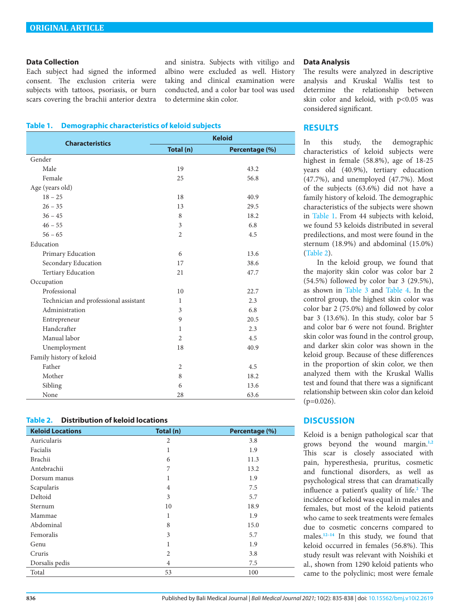### **Data Collection**

Each subject had signed the informed consent. The exclusion criteria were subjects with tattoos, psoriasis, or burn scars covering the brachii anterior dextra and sinistra. Subjects with vitiligo and albino were excluded as well. History taking and clinical examination were conducted, and a color bar tool was used to determine skin color.

### <span id="page-1-0"></span>**Table 1. Demographic characteristics of keloid subjects**

| <b>Characteristics</b>                | <b>Keloid</b>  |                |  |
|---------------------------------------|----------------|----------------|--|
|                                       | Total (n)      | Percentage (%) |  |
| Gender                                |                |                |  |
| Male                                  | 19             | 43.2           |  |
| Female                                | 25             | 56.8           |  |
| Age (years old)                       |                |                |  |
| $18 - 25$                             | 18             | 40.9           |  |
| $26 - 35$                             | 13             | 29.5           |  |
| $36 - 45$                             | 8              | 18.2           |  |
| $46 - 55$                             | 3              | 6.8            |  |
| $56 - 65$                             | $\overline{2}$ | 4.5            |  |
| Education                             |                |                |  |
| Primary Education                     | 6              | 13.6           |  |
| Secondary Education                   | 17             | 38.6           |  |
| <b>Tertiary Education</b>             | 21             | 47.7           |  |
| Occupation                            |                |                |  |
| Professional                          | 10             | 22.7           |  |
| Technician and professional assistant | $\mathbf{1}$   | 2.3            |  |
| Administration                        | 3              | 6.8            |  |
| Entrepreneur                          | 9              | 20.5           |  |
| Handcrafter                           | $\mathbf{1}$   | 2.3            |  |
| Manual labor                          | $\overline{2}$ | 4.5            |  |
| Unemployment                          | 18             | 40.9           |  |
| Family history of keloid              |                |                |  |
| Father                                | $\overline{2}$ | 4.5            |  |
| Mother                                | 8              | 18.2           |  |
| Sibling                               | 6              | 13.6           |  |
| None                                  | 28             | 63.6           |  |

### <span id="page-1-1"></span>**Table 2. Distribution of keloid locations**

| <b>Keloid Locations</b> | Total (n)      | Percentage (%) |
|-------------------------|----------------|----------------|
| Auricularis             | $\overline{2}$ | 3.8            |
| Facialis                | 1              | 1.9            |
| Brachii                 | 6              | 11.3           |
| Antebrachii             | 7              | 13.2           |
| Dorsum manus            | 1              | 1.9            |
| Scapularis              | 4              | 7.5            |
| Deltoid                 | 3              | 5.7            |
| Sternum                 | 10             | 18.9           |
| Mammae                  | 1              | 1.9            |
| Abdominal               | 8              | 15.0           |
| Femoralis               | 3              | 5.7            |
| Genu                    | 1              | 1.9            |
| Cruris                  | $\overline{2}$ | 3.8            |
| Dorsalis pedis          | 4              | 7.5            |
| Total                   | 53             | 100            |

### **Data Analysis**

The results were analyzed in descriptive analysis and Kruskal Wallis test to determine the relationship between skin color and keloid, with p<0.05 was considered significant.

### **RESULTS**

In this study, the demographic characteristics of keloid subjects were highest in female (58.8%), age of 18-25 years old (40.9%), tertiary education (47.7%), and unemployed (47.7%). Most of the subjects (63.6%) did not have a family history of keloid. The demographic characteristics of the subjects were shown in [Table 1](#page-1-0). From 44 subjects with keloid, we found 53 keloids distributed in several predilections, and most were found in the sternum (18.9%) and abdominal (15.0%) ([Table 2\)](#page-1-1).

 In the keloid group, we found that the majority skin color was color bar 2 (54.5%) followed by color bar 3 (29.5%), as shown in [Table 3](#page-2-0) and [Table 4.](#page-2-1) In the control group, the highest skin color was color bar 2 (75.0%) and followed by color bar 3 (13.6%). In this study, color bar 5 and color bar 6 were not found. Brighter skin color was found in the control group, and darker skin color was shown in the keloid group. Because of these differences in the proportion of skin color, we then analyzed them with the Kruskal Wallis test and found that there was a significant relationship between skin color dan keloid  $(p=0.026)$ .

# **DISCUSSION**

Keloid is a benign pathological scar that grows beyond the wound margin.**[1](#page-3-0)[,2](#page-3-1)** This scar is closely associated with pain, hyperesthesia, pruritus, cosmetic and functional disorders, as well as psychological stress that can dramatically influence a patient's quality of life.**[2](#page-3-1)** The incidence of keloid was equal in males and females, but most of the keloid patients who came to seek treatments were females due to cosmetic concerns compared to males.**[12](#page-3-9)[–14](#page-3-10)** In this study, we found that keloid occurred in females (56.8%). This study result was relevant with Noishiki et al., shown from 1290 keloid patients who came to the polyclinic; most were female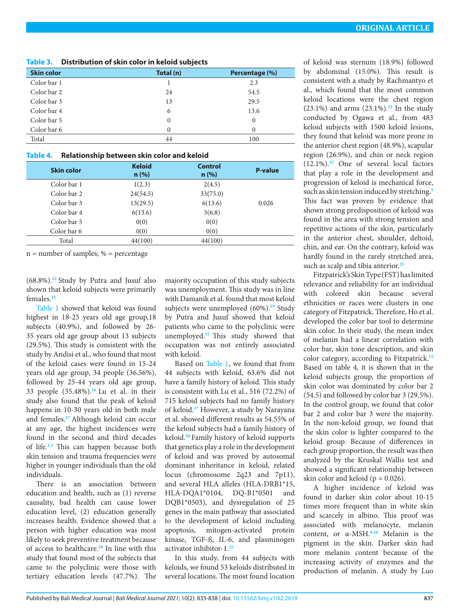<span id="page-2-0"></span>

| Table 3. Distribution of skin color in keloid subjects |  |  |
|--------------------------------------------------------|--|--|
|                                                        |  |  |

| <b>Skin color</b> | Total (n) | Percentage (%) |
|-------------------|-----------|----------------|
| Color bar 1       |           | 2.3            |
| Color bar 2       | 24        | 54.5           |
| Color bar 3       | 13        | 29.5           |
| Color bar 4       | 6         | 13.6           |
| Color bar 5       | $\theta$  | $\mathbf{0}$   |
| Color bar 6       | $\Omega$  | $\Omega$       |
| Total             | 44        | 100            |
|                   |           |                |

# <span id="page-2-1"></span>**Table 4. Relationship between skin color and keloid**

| <b>Skin color</b> | <b>Keloid</b><br>n(%) | <b>Control</b><br>n(%) | <b>P-value</b> |
|-------------------|-----------------------|------------------------|----------------|
| Color bar 1       | 1(2.3)                | 2(4.5)                 |                |
| Color bar 2       | 24(54.5)              | 33(75.0)               |                |
| Color bar 3       | 13(29.5)              | 6(13.6)                | 0.026          |
| Color bar 4       | 6(13.6)               | 3(6.8)                 |                |
| Color bar 5       | 0(0)                  | 0(0)                   |                |
| Color bar 6       | 0(0)                  | 0(0)                   |                |
| Total             | 44(100)               | 44(100)                |                |

 $n =$  number of samples; % = percentage

(68.8%).**[12](#page-3-9)** Study by Putra and Jusuf also shown that keloid subjects were primarily females.**[15](#page-3-15)**

[Table 1](#page-1-0) showed that keloid was found highest in 18-25 years old age group,18 subjects (40.9%), and followed by 26- 35 years old age group about 13 subjects (29.5%). This study is consistent with the study by Andisi et al., who found that most of the keloid cases were found in 15-24 years old age group, 34 people (36.56%), followed by 25-44 years old age group, 33 people (35.48%).**[16](#page-3-16)** Lu et al. in their study also found that the peak of keloid happens in 10-30 years old in both male and females.**[17](#page-3-17)** Although keloid can occur at any age, the highest incidences were found in the second and third decades of life.**[2](#page-3-1),[3](#page-3-2)** This can happen because both skin tension and trauma frequencies were higher in younger individuals than the old individuals.

There is an association between education and health, such as (1) reverse causality, bad health can cause lower education level, (2) education generally increases health. Evidence showed that a person with higher education was most likely to seek preventive treatment because of access to healthcare.**[18](#page-3-18)** In line with this study that found most of the subjects that came to the polyclinic were those with tertiary education levels (47.7%). The

majority occupation of this study subjects was unemployment. This study was in line with Damanik et al. found that most keloid subjects were unemployed (60%).**[19](#page-3-19)** Study by Putra and Jusuf showed that keloid patients who came to the polyclinic were unemployed.**[15](#page-3-15)** This study showed that occupation was not entirely associated with keloid.

Based on [Table 1](#page-1-0), we found that from 44 subjects with keloid, 63.6% did not have a family history of keloid. This study is consistent with Lu et al., 516 (72.2%) of 715 keloid subjects had no family history of keloid.**[17](#page-3-17)** However, a study by Narayana et al. showed different results as 54.55% of the keloid subjects had a family history of keloid.**[20](#page-3-20)** Family history of keloid supports that genetics play a role in the development of keloid and was proved by autosomal dominant inheritance in keloid, related locus (chromosome 2q23 and 7p11), and several HLA alleles (HLA-DRB1\*15, HLA-DQA1\*0104, DQ-B1\*0501 and DQB1\*0503), and dysregulation of 25 genes in the main pathway that associated to the development of keloid including apoptosis, mitogen-activated protein kinase, TGF-ß, IL-6, and plasminogen activator inhibitor-1.**[21](#page-3-21)**

In this study, from 44 subjects with keloids, we found 53 keloids distributed in several locations. The most found location

of keloid was sternum (18.9%) followed by abdominal (15.0%). This result is consistent with a study by Rachmantyo et al., which found that the most common keloid locations were the chest region (23.1%) and arms (23.1%).**[22](#page-3-11)** In the study conducted by Ogawa et al., from 483 keloid subjects with 1500 keloid lesions, they found that keloid was more prone in the anterior chest region (48.9%), scapular region (26.9%), and chin or neck region (12.1%).**[25](#page-3-12)** One of several local factors that play a role in the development and progression of keloid is mechanical force, such as skin tension induced by stretching.**[5](#page-3-4)** This fact was proven by evidence that shown strong predisposition of keloid was found in the area with strong tension and repetitive actions of the skin, particularly in the anterior chest, shoulder, deltoid, chin, and ear. On the contrary, keloid was hardly found in the rarely stretched area, such as scalp and tibia anterior.**[23](#page-3-13)**

Fitzpatrick's Skin Type (FST) has limited relevance and reliability for an individual with colored skin because several ethnicities or races were clusters in one category of Fitzpatrick. Therefore, Ho et al. developed the color bar tool to determine skin color. In their study, the mean index of melanin had a linear correlation with color bar, skin tone description, and skin color category, according to Fitzpatrick.**[11](#page-3-14)** Based on table 4, it is shown that in the keloid subjects group, the proportion of skin color was dominated by color bar 2 (54.5) and followed by color bar 3 (29.5%). In the control group, we found that color bar 2 and color bar 3 were the majority. In the non-keloid group, we found that the skin color is lighter compared to the keloid group. Because of differences in each group proportion, the result was then analyzed by the Kruskal Wallis test and showed a significant relationship between skin color and keloid ( $p = 0.026$ ).

A higher incidence of keloid was found in darker skin color about 10-15 times more frequent than in white skin and scarcely in albino. This proof was associated with melanocyte, melanin content, or α-MSH.**9,[10](#page-3-8)** Melanin is the pigment in the skin. Darker skin had more melanin content because of the increasing activity of enzymes and the production of melanin. A study by Luo